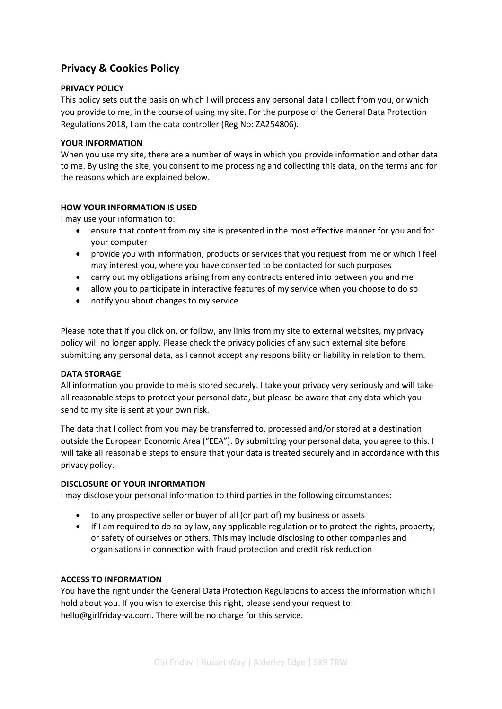# **Privacy & Cookies Policy**

# **PRIVACY POLICY**

This policy sets out the basis on which I will process any personal data I collect from you, or which you provide to me, in the course of using my site. For the purpose of the General Data Protection Regulations 2018, I am the data controller (Reg No: ZA254806).

### **YOUR INFORMATION**

When you use my site, there are a number of ways in which you provide information and other data to me. By using the site, you consent to me processing and collecting this data, on the terms and for the reasons which are explained below.

#### **HOW YOUR INFORMATION IS USED**

I may use your information to:

- ensure that content from my site is presented in the most effective manner for you and for your computer
- provide you with information, products or services that you request from me or which I feel may interest you, where you have consented to be contacted for such purposes
- carry out my obligations arising from any contracts entered into between you and me
- allow you to participate in interactive features of my service when you choose to do so
- notify you about changes to my service

Please note that if you click on, or follow, any links from my site to external websites, my privacy policy will no longer apply. Please check the privacy policies of any such external site before submitting any personal data, as I cannot accept any responsibility or liability in relation to them.

#### **DATA STORAGE**

All information you provide to me is stored securely. I take your privacy very seriously and will take all reasonable steps to protect your personal data, but please be aware that any data which you send to my site is sent at your own risk.

The data that I collect from you may be transferred to, processed and/or stored at a destination outside the European Economic Area ("EEA"). By submitting your personal data, you agree to this. I will take all reasonable steps to ensure that your data is treated securely and in accordance with this privacy policy.

#### **DISCLOSURE OF YOUR INFORMATION**

I may disclose your personal information to third parties in the following circumstances:

- to any prospective seller or buyer of all (or part of) my business or assets
- If I am required to do so by law, any applicable regulation or to protect the rights, property, or safety of ourselves or others. This may include disclosing to other companies and organisations in connection with fraud protection and credit risk reduction

### **ACCESS TO INFORMATION**

You have the right under the General Data Protection Regulations to access the information which I hold about you. If you wish to exercise this right, please send your request to: hello@girlfriday-va.com. There will be no charge for this service.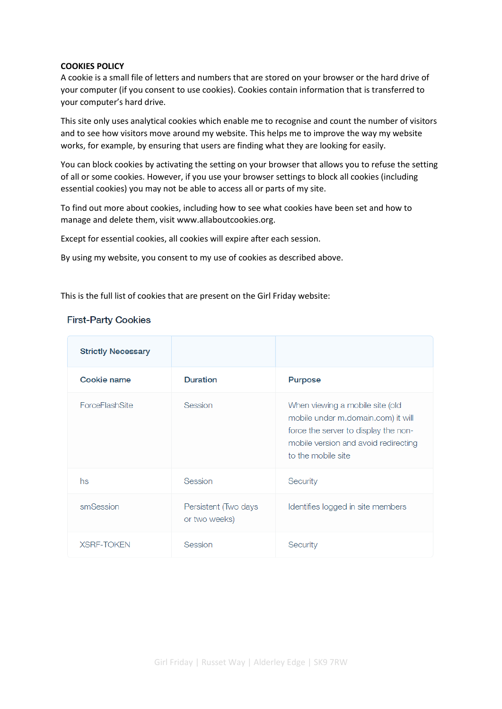#### **COOKIES POLICY**

A cookie is a small file of letters and numbers that are stored on your browser or the hard drive of your computer (if you consent to use cookies). Cookies contain information that is transferred to your computer's hard drive.

This site only uses analytical cookies which enable me to recognise and count the number of visitors and to see how visitors move around my website. This helps me to improve the way my website works, for example, by ensuring that users are finding what they are looking for easily.

You can block cookies by activating the setting on your browser that allows you to refuse the setting of all or some cookies. However, if you use your browser settings to block all cookies (including essential cookies) you may not be able to access all or parts of my site.

To find out more about cookies, including how to see what cookies have been set and how to manage and delete them, visit www.allaboutcookies.org.

Except for essential cookies, all cookies will expire after each session.

By using my website, you consent to my use of cookies as described above.

This is the full list of cookies that are present on the Girl Friday website:

## **First-Party Cookies**

| <b>Strictly Necessary</b> |                                       |                                                                                                                                                                             |
|---------------------------|---------------------------------------|-----------------------------------------------------------------------------------------------------------------------------------------------------------------------------|
| Cookie name               | <b>Duration</b>                       | Purpose                                                                                                                                                                     |
| <b>ForceFlashSite</b>     | Session                               | When viewing a mobile site (old<br>mobile under m.domain.com) it will<br>force the server to display the non-<br>mobile version and avoid redirecting<br>to the mobile site |
| hs                        | Session                               | Security                                                                                                                                                                    |
| smSession                 | Persistent (Two days<br>or two weeks) | Identifies logged in site members                                                                                                                                           |
| <b>XSRF-TOKEN</b>         | Session                               | Security                                                                                                                                                                    |